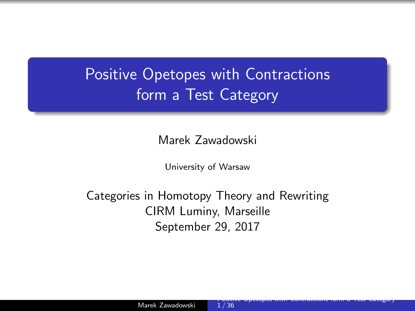## <span id="page-0-0"></span>Positive Opetopes with Contractions form a Test Category

Marek Zawadowski

University of Warsaw

Categories in Homotopy Theory and Rewriting CIRM Luminy, Marseille September 29, 2017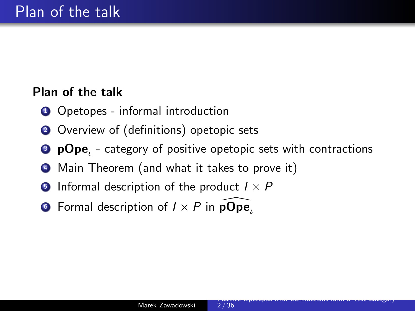### Plan of the talk

- **1** Opetopes informal introduction
- 2 Overview of (definitions) opetopic sets
- $\bullet\,$  p $\mathsf{Ope}_\iota$  category of positive opetopic sets with contractions
- <sup>4</sup> Main Theorem (and what it takes to prove it)
- **•** Informal description of the product  $I \times P$
- **6** Formal description of  $I \times P$  in **pOpe**,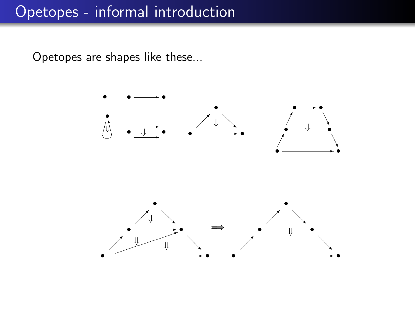Opetopes are shapes like these...

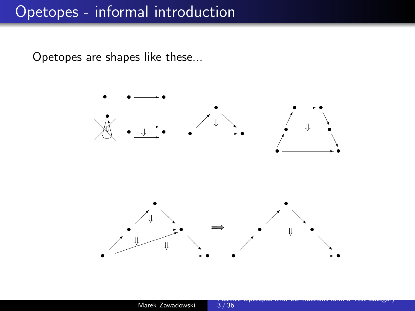Opetopes are shapes like these...

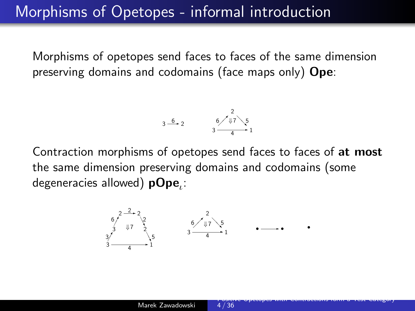Morphisms of opetopes send faces to faces of the same dimension preserving domains and codomains (face maps only) **Ope**:

$$
3 \xrightarrow{6} 2 \qquad 6 \xrightarrow{2} 5
$$
  
3 \xrightarrow{4} 1

Contraction morphisms of opetopes send faces to faces of at most the same dimension preserving domains and codomains (some degeneracies allowed)  ${\sf pOpe}_\iota^{}$ :

• • ✲ • 3 1 ✲ 4 2 6 ✒ ❅ <sup>5</sup> ⇓<sup>7</sup> ⇓<sup>7</sup> ❅❘ 2 2 <sup>2</sup>✲ 3 2 3 1 ✲ 4 ✁ 6 ✁✕ ✁<sup>3</sup> ✁✕ ❆ ❆❯ 2 ❆ ❆❯5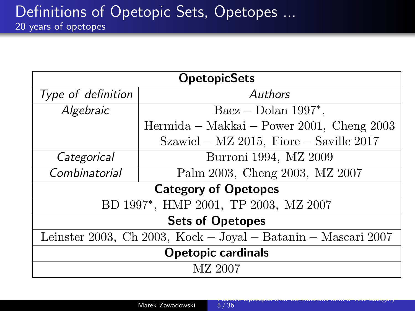| <b>OpetopicSets</b>                                           |                                           |  |
|---------------------------------------------------------------|-------------------------------------------|--|
| Type of definition                                            | Authors                                   |  |
| Algebraic                                                     | $\text{Baez} - \text{Dolan} 1997^*$ ,     |  |
|                                                               | Hermida – Makkai – Power 2001, Cheng 2003 |  |
|                                                               | Szawiel – MZ 2015, Fiore – Saville $2017$ |  |
| Categorical                                                   | Burroni 1994, MZ 2009                     |  |
| Combinatorial                                                 | Palm 2003, Cheng 2003, MZ 2007            |  |
| <b>Category of Opetopes</b>                                   |                                           |  |
| BD 1997*, HMP 2001, TP 2003, MZ 2007                          |                                           |  |
| <b>Sets of Opetopes</b>                                       |                                           |  |
| Leinster 2003, Ch 2003, Kock – Joyal – Batanin – Mascari 2007 |                                           |  |
| Opetopic cardinals                                            |                                           |  |
| MZ 2007                                                       |                                           |  |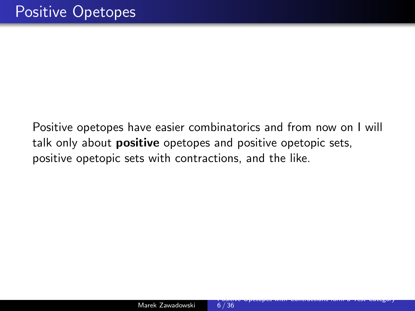Positive opetopes have easier combinatorics and from now on I will talk only about **positive** opetopes and positive opetopic sets, positive opetopic sets with contractions, and the like.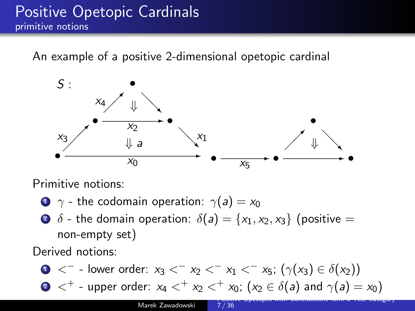## Positive Opetopic Cardinals primitive notions

An example of a positive 2-dimensional opetopic cardinal



Primitive notions:

- $\bullet \ \gamma$  the codomain operation:  $\gamma(a) = x_0$
- $\bullet$   $\delta$  the domain operation:  $\delta(a) = \{x_1, x_2, x_3\}$  (positive = non-empty set)

Derived notions:

\n- $$
0 <^-
$$
 - lower order:  $x_3 <^- x_2 <^- x_1 <^- x_5$ ;  $(\gamma(x_3) \in \delta(x_2))$
\n- $0 <^+$  - upper order:  $x_4 <^+ x_2 <^+ x_0$ ;  $(x_2 \in \delta(a)$  and  $\gamma(a) = x_0$ )
\n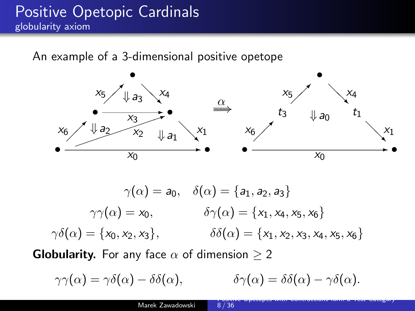## Positive Opetopic Cardinals globularity axiom

An example of a 3-dimensional positive opetope



$$
\gamma(\alpha) = a_0, \quad \delta(\alpha) = \{a_1, a_2, a_3\}
$$

$$
\gamma\gamma(\alpha) = x_0, \qquad \delta\gamma(\alpha) = \{x_1, x_4, x_5, x_6\}
$$

$$
\gamma\delta(\alpha) = \{x_0, x_2, x_3\}, \qquad \delta\delta(\alpha) = \{x_1, x_2, x_3, x_4, x_5, x_6\}
$$

**Globularity.** For any face  $\alpha$  of dimension  $\geq 2$ 

$$
\gamma\gamma(\alpha) = \gamma\delta(\alpha) - \delta\delta(\alpha), \qquad \qquad \delta\gamma(\alpha) = \delta\delta(\alpha) - \gamma\delta(\alpha).
$$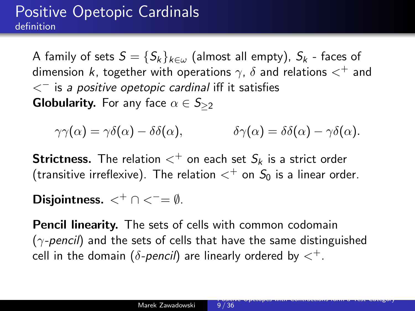## Positive Opetopic Cardinals definition

A family of sets  $S = \{S_k\}_{k \in \omega}$  (almost all empty),  $S_k$  - faces of dimension k, together with operations  $\gamma$ ,  $\delta$  and relations  $\lt^+$  and  $<^-$  is a positive opetopic cardinal iff it satisfies **Globularity.** For any face  $\alpha \in S_{\geq 2}$ 

 $\gamma\gamma(\alpha) = \gamma\delta(\alpha) - \delta\delta(\alpha), \qquad \delta\gamma(\alpha) = \delta\delta(\alpha) - \gamma\delta(\alpha).$ 

**Strictness.** The relation  $\lt^+$  on each set  $S_k$  is a strict order (transitive irreflexive). The relation  $\lt^+$  on  $S_0$  is a linear order.

Disjointness.  $\lt^+ \cap \lt^-= \emptyset$ .

Pencil linearity. The sets of cells with common codomain  $(\gamma$ -pencil) and the sets of cells that have the same distinguished cell in the domain ( $\delta$ -pencil) are linearly ordered by  $<^+$ .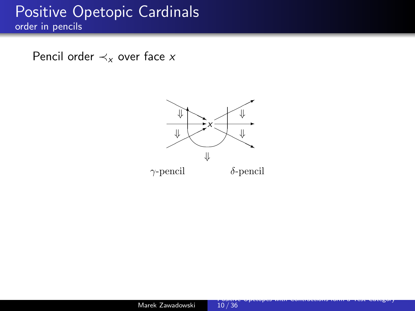### Positive Opetopic Cardinals order in pencils

Pencil order  $\prec_{x}$  over face x

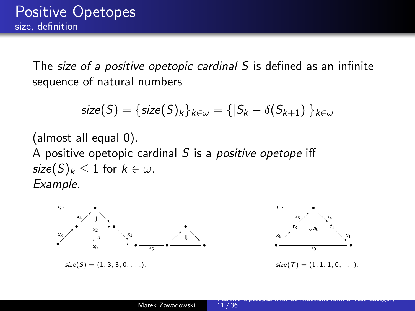The size of a positive opetopic cardinal S is defined as an infinite sequence of natural numbers

$$
size(S) = \{size(S)_k\}_{k \in \omega} = \{ |S_k - \delta(S_{k+1})|\}_{k \in \omega}
$$

(almost all equal 0). A positive opetopic cardinal  $S$  is a *positive opetope* iff size $(S)_k \leq 1$  for  $k \in \omega$ . Example.

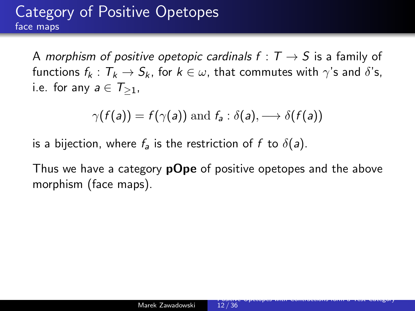## Category of Positive Opetopes face maps

A morphism of positive opetopic cardinals  $f: T \rightarrow S$  is a family of functions  $f_k : T_k \to S_k$ , for  $k \in \omega$ , that commutes with  $\gamma$ 's and  $\delta$ 's, i.e. for any  $a \in \mathcal{T}_{\geq 1}$ ,

$$
\gamma(f(a)) = f(\gamma(a)) \text{ and } f_a : \delta(a), \longrightarrow \delta(f(a))
$$

is a bijection, where  $f_a$  is the restriction of f to  $\delta(a)$ .

Thus we have a category **pOpe** of positive opetopes and the above morphism (face maps).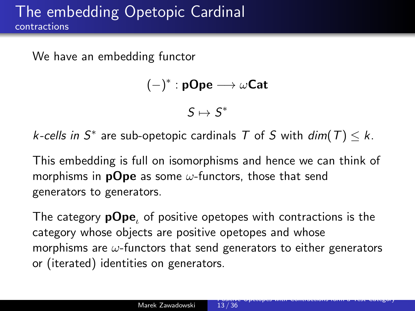We have an embedding functor

```
(-)^*:\mathsf{pOpe}\longrightarrow\omega\mathsf{Cat}
```
 $S \mapsto S^*$ 

*k*-cells in  $S^*$  are sub-opetopic cardinals T of S with  $dim(T) \leq k$ .

This embedding is full on isomorphisms and hence we can think of morphisms in **pOpe** as some  $\omega$ -functors, those that send generators to generators.

The category  $p\Omega pe$ , of positive opetopes with contractions is the category whose objects are positive opetopes and whose morphisms are  $\omega$ -functors that send generators to either generators or (iterated) identities on generators.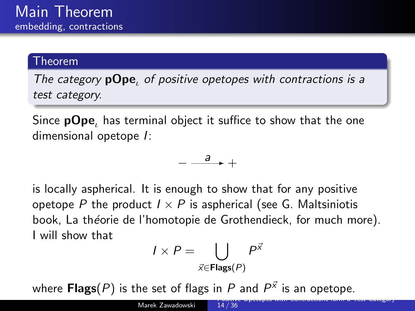#### Theorem

The category **pOpe**, of positive opetopes with contractions is a test category.

Since  $pOpe$ , has terminal object it suffice to show that the one dimensional opetope I:

$$
-\xrightarrow{a}+
$$

is locally aspherical. It is enough to show that for any positive opetope P the product  $I \times P$  is aspherical (see G. Maltsiniotis book, La théorie de l'homotopie de Grothendieck, for much more). I will show that

$$
I \times P = \bigcup_{\vec{x} \in \mathsf{Flags}(P)} P^{\vec{x}}
$$

where  $\mathsf{Flags} (P)$  is the set of flags in  $P$  and  $P^{\vec{\times}}$  is an opetope.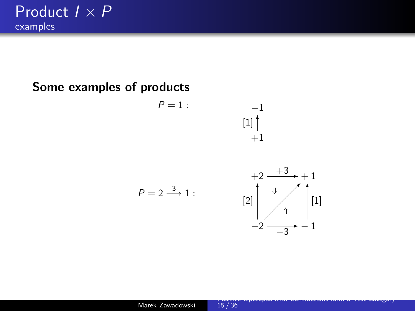#### Some examples of products

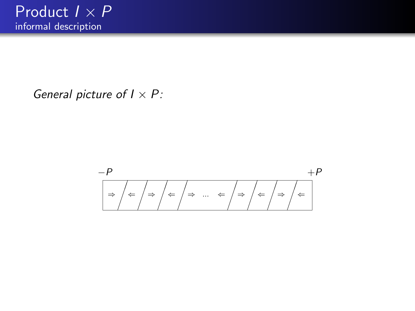General picture of  $I \times P$ :

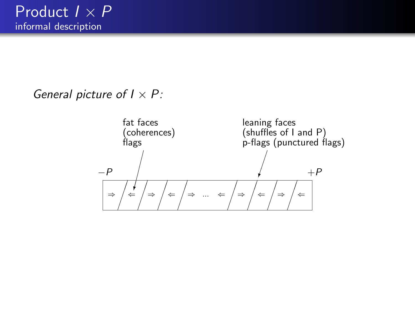General picture of  $I \times P$ :

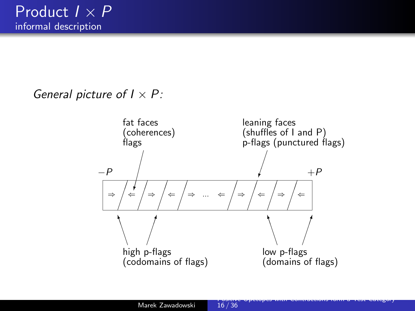General picture of  $I \times P$ :

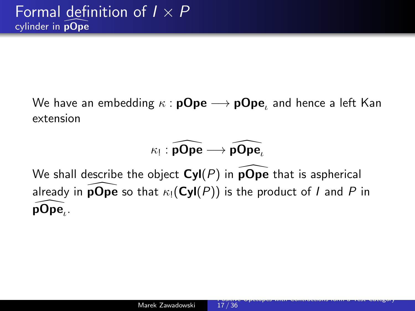We have an embedding  $\kappa$  :  $\mathsf{pOpe} \longrightarrow \mathsf{pOpe}_\iota$  and hence a left Kan extension

## $\kappa_{!}:\widehat{\mathsf{pOpe}}\longrightarrow \widehat{\mathsf{pOpe}}_{\iota}$

We shall describe the object  $Cyl(P)$  in  $\overline{p}Op\overline{e}$  that is aspherical already in **pOpe** so that  $\kappa_1(Cyl(P))$  is the product of I and P in p $\mathsf{Ope}_\iota$  .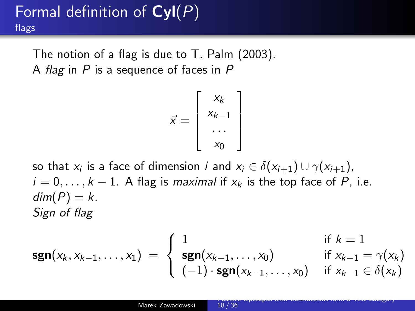## Formal definition of  $Cyl(P)$ flags

The notion of a flag is due to T. Palm (2003). A flag in  $P$  is a sequence of faces in  $P$ 

$$
\vec{x} = \left[\begin{array}{c} x_k \\ x_{k-1} \\ \dots \\ x_0 \end{array}\right]
$$

so that  $x_i$  is a face of dimension  $i$  and  $x_i \in \delta(x_{i+1}) \cup \gamma(x_{i+1})$ ,  $i = 0, \ldots, k - 1$ . A flag is maximal if  $x_k$  is the top face of P, i.e.  $dim(P) = k$ . Sign of flag

$$
\text{sgn}(x_k, x_{k-1}, \dots, x_1) = \begin{cases} 1 & \text{if } k = 1 \\ \text{sgn}(x_{k-1}, \dots, x_0) & \text{if } x_{k-1} = \gamma(x_k) \\ (-1) \cdot \text{sgn}(x_{k-1}, \dots, x_0) & \text{if } x_{k-1} \in \delta(x_k) \end{cases}
$$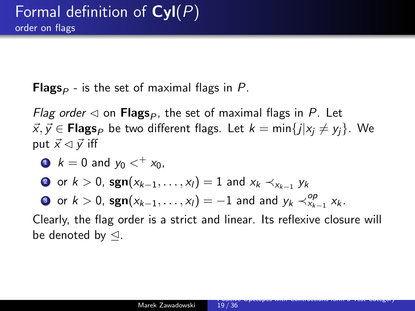**Flags**<sub> $P$ </sub> - is the set of maximal flags in P.

Flag order  $\triangleleft$  on Flags<sub>p</sub>, the set of maximal flags in P. Let  $\vec{x}, \vec{y} \in \text{Flags}_P$  be two different flags. Let  $k = \min\{j|x_j \neq y_j\}$ . We put  $\vec{x} \triangleleft \vec{v}$  iff

$$
k = 0 \text{ and } y_0 <^+ x_0,
$$

? or  $k>0$ , sg $\mathbf{n}(x_{k-1}, \ldots, x_{l}) = 1$  and  $x_k \prec_{x_{k-1}} y_k$ 

3 or  $k > 0$ , sgn $(x_{k-1}, \ldots, x_l) = -1$  and and  $y_k \prec_{x_{k-1}}^{op} x_k$ .

Clearly, the flag order is a strict and linear. Its reflexive closure will be denoted by  $\triangleleft$ .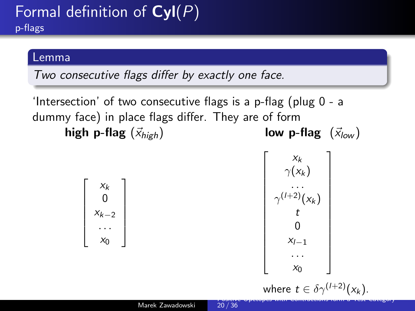## Formal definition of  $Cyl(P)$ p-flags

#### Lemma

Two consecutive flags differ by exactly one face.

'Intersection' of two consecutive flags is a p-flag (plug 0 - a dummy face) in place flags differ. They are of form high p-flag  $(\vec{x}_{high})$  low p-flag  $(\vec{x}_{low})$ 

$$
\left[\begin{array}{c} x_k \\ 0 \\ x_{k-2} \\ \cdots \\ x_0 \end{array}\right]
$$

$$
\begin{bmatrix}\nx_k \\
\gamma(x_k) \\
\dots \\
\gamma^{(l+2)}(x_k) \\
t \\
0 \\
x_{l-1} \\
\dots \\
x_0\n\end{bmatrix}
$$

 $\sqrt{ }$  $\overline{\phantom{a}}$  $\overline{1}$  $\overline{1}$  $\overline{1}$  $\overline{1}$  $\overline{1}$  $\overline{1}$  $\overline{1}$  $\overline{1}$  $\overline{1}$  $\overline{1}$  $\overline{\phantom{a}}$  $\overline{1}$ 

where  $t \in \delta \gamma^{(1+2)}(x_k)$ . [Positive Opetopes with Contractions form a Test Category](#page-0-0)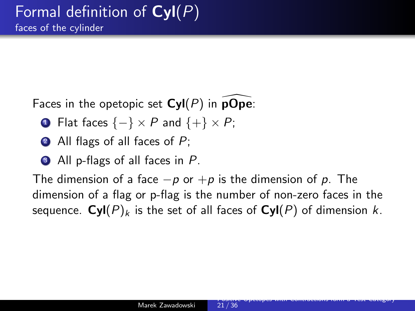Faces in the opetopic set  $Cyl(P)$  in pOpe:

- **1** Flat faces  $\{-\} \times P$  and  $\{+\} \times P$ ;
- All flags of all faces of  $P$ ;
- All p-flags of all faces in P.

The dimension of a face  $-p$  or  $+p$  is the dimension of p. The dimension of a flag or p-flag is the number of non-zero faces in the sequence.  $Cyl(P)_k$  is the set of all faces of  $Cyl(P)$  of dimension k.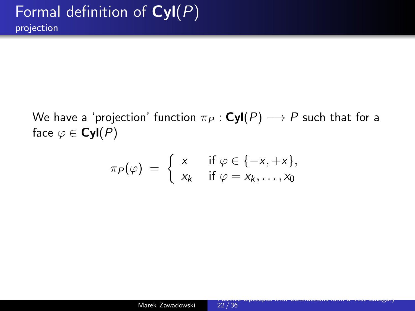We have a 'projection' function  $\pi_P : \text{Cyl}(P) \longrightarrow P$  such that for a face  $\varphi \in \mathsf{Cyl}(P)$ 

$$
\pi_P(\varphi) = \left\{ \begin{array}{ll} x & \text{if } \varphi \in \{-x, +x\}, \\ x_k & \text{if } \varphi = x_k, \dots, x_0 \end{array} \right.
$$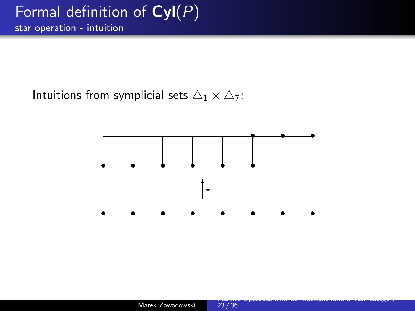Intuitions from symplicial sets  $\triangle_1 \times \triangle_7$ :

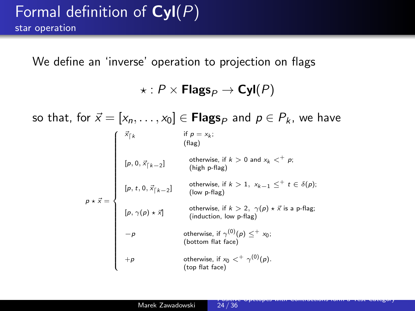We define an 'inverse' operation to projection on flags

 $\star$  :  $P \times$  Flags<sub>*P*</sub>  $\rightarrow$  Cyl(*P*)

so that, for  $\vec{x} = [x_n, \ldots, x_0] \in \mathsf{Flags}_P$  and  $p \in P_k$ , we have  $p \star \vec{x} =$  $\int \frac{\vec{x}_{\vert k}}{k}$  if  $p = x_k$ ;<br>(flag)  $\overline{\phantom{a}}$  $\begin{array}{c} \begin{array}{c} \begin{array}{c} \begin{array}{c} \end{array} \\ \end{array} \\ \begin{array}{c} \end{array} \end{array} \end{array}$  $[p, 0, \vec{x}_{\lceil k-2}]$  otherwise, if  $k > 0$  and  $x_k <^+ p$ ;<br>(high p-flag)  $[p, t, 0, \vec{x}_{\lceil k-2}]$  otherwise, if  $k > 1$ ,  $x_{k-1} \leq^+ t \in \delta(p);$ <br>(low p-flag)  $[p, \gamma(p) \star \vec{x}]$  otherwise, if  $k > 2$ ,  $\gamma(p) \star \vec{x}$  is a p-flag;<br>(induction, low p-flag)  $-p$  otherwise, if  $\gamma^{(0)}(p) \leq^+ x_0;$ <br>(bottom flat face)  $+p$  otherwise, if  $x_0 <^+ \gamma^{(0)}(p)$ .<br>(top flat face)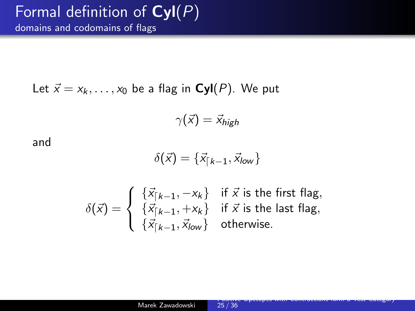### Formal definition of  $\textbf{Cyl}(P)$ domains and codomains of flags

Let  $\vec{x} = x_k, \ldots, x_0$  be a flag in **Cyl**(P). We put

$$
\gamma(\vec{x}) = \vec{x}_{high}
$$

and

$$
\delta(\vec{x}) = \{\vec{x}_{\lceil k-1}, \vec{x}_{\text{low}}\}
$$

$$
\delta(\vec{x}) = \begin{cases}\n\{\vec{x}_{\lceil k-1, -x_k\}} & \text{if } \vec{x} \text{ is the first flag,} \\
\{\vec{x}_{\lceil k-1, +x_k\}} & \text{if } \vec{x} \text{ is the last flag,} \\
\{\vec{x}_{\lceil k-1, \vec{x}_{\lceil \sqrt{k-1} \rceil}, \vec{x}_{\lceil \sqrt{k-1} \rceil}\}\n\end{cases}
$$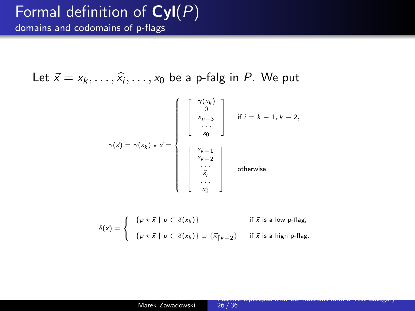### Formal definition of  $\textbf{Cyl}(P)$ domains and codomains of p-flags

Let  $\vec{x} = x_k, \ldots, \hat{x_i}, \ldots, x_0$  be a p-falg in P. We put

$$
\gamma(\vec{x}) = \gamma(x_k) \star \vec{x} = \begin{cases}\n\begin{bmatrix}\n\gamma(x_k) \\
0 \\
x_{n-3} \\
\vdots \\
x_0\n\end{bmatrix} & \text{if } i = k - 1, k - 2, \\
\begin{bmatrix}\nx_{k-1} \\
x_{k-2} \\
\vdots \\
x_0 \\
x_0\n\end{bmatrix} & \text{otherwise.}\n\end{cases}
$$

$$
\delta(\vec{x}) = \begin{cases}\n\{p \star \vec{x} \mid p \in \delta(x_k)\} & \text{if } \vec{x} \text{ is a low p-flag,} \\
\{p \star \vec{x} \mid p \in \delta(x_k)\} \cup \{\vec{x}_{\lceil k-2}\} & \text{if } \vec{x} \text{ is a high p-flag.}\n\end{cases}
$$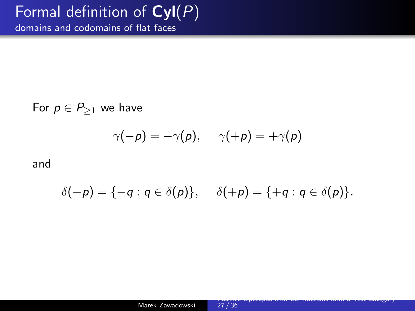## Formal definition of  $\overline{\text{Cyl}(P)}$

domains and codomains of flat faces

For  $p \in P_{\geq 1}$  we have

$$
\gamma(-\rho)=-\gamma(\rho),\hspace{0.5cm}\gamma(+\rho)=+\gamma(\rho)
$$

and

$$
\delta(-p) = \{-q : q \in \delta(p)\}, \quad \delta(+p) = \{+q : q \in \delta(p)\}.
$$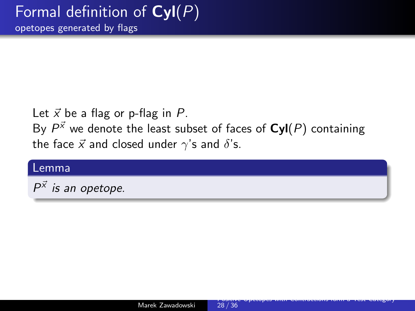Let  $\vec{x}$  be a flag or p-flag in P.

By  $P^{\vec{X}}$  we denote the least subset of faces of  $\textsf{Cyl}(P)$  containing the face  $\vec{x}$  and closed under  $\gamma$ 's and  $\delta$ 's.

#### Lemma

 $P^{\vec{x}}$  is an opetope.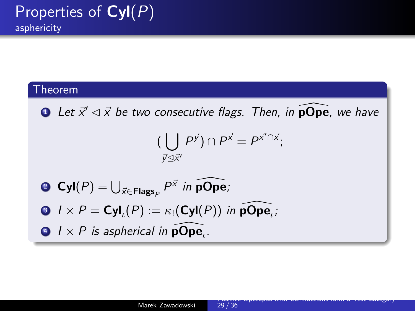#### Theorem

**1** Let  $\vec{x}' \lhd \vec{x}$  be two consecutive flags. Then, in  $\widehat{\text{pOpe}}$ , we have  $(\begin{array}{c} | \end{array} P^{\vec{y}}) \cap P^{\vec{x}} = P^{\vec{x}' \cap \vec{x}};$  $\vec{y} \leq \vec{x}$ **2** Cyl $(P) = \bigcup_{\vec{x} \in \mathsf{Flags}_P} P^{\vec{x}}$  in pOpe; 3  $I \times P = \text{Cyl}_\iota(P) := \kappa_! (\text{Cyl}(P))$  in  $\widehat{\text{pOpe}}_\iota$ ;  $1 \times P$  is aspherical in  $\widehat{\textbf{pOpe}}_{\iota}$ .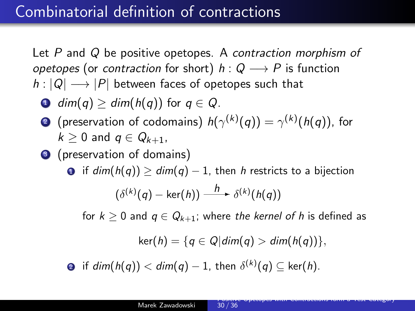## Combinatorial definition of contractions

Let P and Q be positive opetopes. A contraction morphism of opetopes (or contraction for short)  $h: Q \longrightarrow P$  is function  $h: |Q| \longrightarrow |P|$  between faces of opetopes such that

- **1** dim(q)  $\ge$  dim(h(q)) for  $q \in Q$ .
- $\bullet$  (preservation of codomains)  $h(\gamma^{(k)}(q)) = \gamma^{(k)}(h(q))$ , for  $k > 0$  and  $q \in Q_{k+1}$ .
- <sup>3</sup> (preservation of domains)

**0** if  $dim(h(q)) \ge dim(q) - 1$ , then h restricts to a bijection

$$
(\delta^{(k)}(q) - \ker(h)) \xrightarrow{h} \delta^{(k)}(h(q))
$$

for  $k \geq 0$  and  $q \in Q_{k+1}$ ; where the kernel of h is defined as

$$
\ker(h) = \{q \in Q | dim(q) > dim(h(q))\},\
$$

 $\textbf{2}$  if  $\textit{dim}(h(q)) < \textit{dim}(q)-1$ , then  $\delta^{(k)}(q) \subseteq \text{ker}(h).$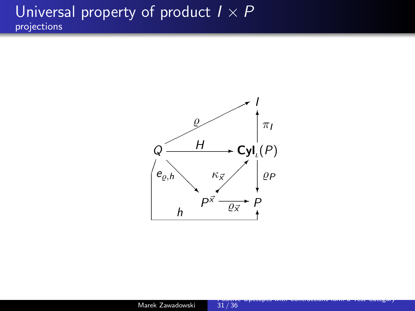## Universal property of product  $I \times P$ projections

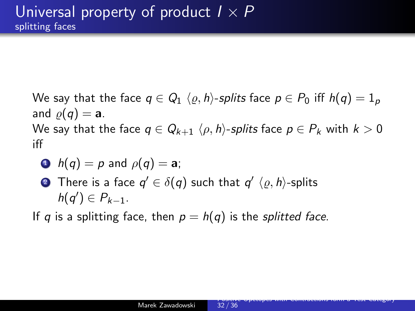We say that the face  $q \in Q_1 \langle \varrho, h \rangle$ -splits face  $p \in P_0$  iff  $h(q) = 1_p$ and  $\rho(q) = a$ . We say that the face  $q \in Q_{k+1} \langle \rho, h \rangle$ -splits face  $p \in P_k$  with  $k > 0$ iff

• 
$$
h(q) = p
$$
 and  $\rho(q) = a$ ;

 $\bullet$  There is a face  $q' \in \delta(q)$  such that  $q' \; \langle \varrho, h \rangle$ -splits  $h(q') \in P_{k-1}.$ 

If q is a splitting face, then  $p = h(q)$  is the *splitted face*.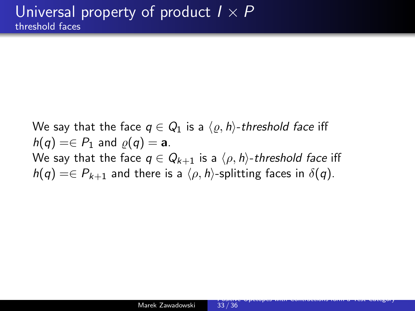We say that the face  $q \in Q_1$  is a  $\langle \varrho, h \rangle$ -threshold face iff  $h(q) = \in P_1$  and  $\varrho(q) = a$ . We say that the face  $q \in Q_{k+1}$  is a  $\langle \rho, h \rangle$ -threshold face iff  $h(q) = \in P_{k+1}$  and there is a  $\langle \rho, h \rangle$ -splitting faces in  $\delta(q)$ .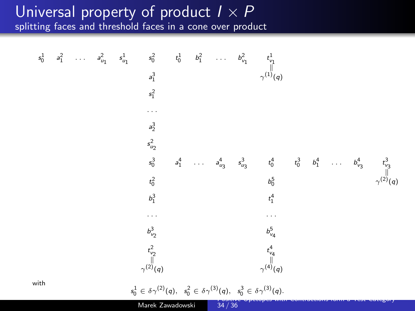#### Universal property of product  $I \times P$ splitting faces and threshold faces in a cone over product

$$
s_0^1 \quad a_1^2 \quad \dots \quad a_{u_1}^2 \quad s_0^1 \quad s_0^2 \quad t_0^1 \quad b_1^2 \quad \dots \quad b_{v_1}^2 \quad t_{v_1}^1
$$
\n
$$
s_1^3 \quad \gamma^{(1)}(q)
$$
\n
$$
s_1^2
$$
\n
$$
s_2^2
$$
\n
$$
s_2^3
$$
\n
$$
s_0^3 \quad a_1^4 \quad \dots \quad a_{u_3}^4 \quad s_{u_3}^3 \quad t_0^4 \quad t_0^3 \quad b_1^4 \quad \dots \quad b_{v_3}^4 \quad t_{v_3}^3
$$
\n
$$
t_0^2 \quad \text{for} \quad \gamma^{(2)}(q)
$$
\n
$$
b_1^3 \quad \text{if} \quad t_1^4
$$
\n
$$
b_2^5 \quad \text{if} \quad t_1^4
$$
\n
$$
t_{v_2}^2 \quad \text{if} \quad t_{v_4}^4
$$
\n
$$
t_{v_4}^2 \quad \text{if} \quad t_{v_4}^4
$$
\n
$$
t_{v_4}^2 \quad \text{if} \quad t_{v_4}^4
$$
\n
$$
t_{v_4}^2 \quad \text{if} \quad t_{v_4}^4
$$
\n
$$
t_{v_4}^2 \quad \text{if} \quad t_{v_4}^4
$$
\n
$$
t_{v_4}^2 \quad \text{if} \quad t_{v_4}^4
$$
\n
$$
t_{v_4}^2 \quad \text{if} \quad t_{v_4}^4
$$
\n
$$
t_{v_4}^2 \quad \text{if} \quad t_{v_4}^4
$$
\n
$$
t_{v_4}^2 \quad \text{if} \quad t_{v_4}^4
$$
\n
$$
t_{v_4}^2 \quad \text{if} \quad t_{v_4}^4
$$
\n
$$
t_{v_4}^2 \quad \text{if} \quad t_{v_4}^2 \quad \text{if} \quad t_{v_4}^2 \quad \text{if} \quad t_{v_4}^2 \quad \text{if} \quad t_{
$$

Marek Zawadowski 34 / 36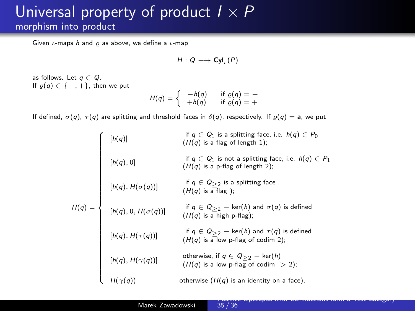## Universal property of product  $I \times P$ morphism into product

Given  $\iota$ -maps h and  $\rho$  as above, we define a  $\iota$ -map

$$
H:Q\longrightarrow\text{Cyl}_\iota(P)
$$

as follows. Let  $q \in Q$ . If  $\rho(q) \in \{-, +\}$ , then we put

$$
H(q) = \begin{cases} -h(q) & \text{if } \varrho(q) = -\\ +h(q) & \text{if } \varrho(q) = + \end{cases}
$$

If defined,  $\sigma(q)$ ,  $\tau(q)$  are splitting and threshold faces in  $\delta(q)$ , respectively. If  $\rho(q) = a$ , we put

|          | [h(q)]                  | if $q \in Q_1$ is a splitting face, i.e. $h(q) \in P_0$<br>$(H(q)$ is a flag of length 1);       |
|----------|-------------------------|--------------------------------------------------------------------------------------------------|
|          | [h(q), 0]               | if $q \in Q_1$ is not a splitting face, i.e. $h(q) \in P_1$<br>$(H(q)$ is a p-flag of length 2); |
|          | $[h(q), H(\sigma(q))]$  | if $q \in Q_{>2}$ is a splitting face<br>$(H(q)$ is a flag);                                     |
| $H(q) =$ | $[h(q),0,H(\sigma(q))]$ | if $q \in Q_{>2}$ – ker(h) and $\sigma(q)$ is defined<br>$(H(q)$ is a high p-flag);              |
|          | $[h(q), H(\tau(q))]$    | if $q \in Q_{>2}$ – ker(h) and $\tau(q)$ is defined<br>$(H(q)$ is a low p-flag of codim 2);      |
|          | $[h(q),H(\gamma(q))]$   | otherwise, if $q \in Q_{>2}$ - ker(h)<br>$(H(q)$ is a low p-flag of codim $> 2$ );               |
|          |                         | otherwise $(H(q)$ is an identity on a face).                                                     |